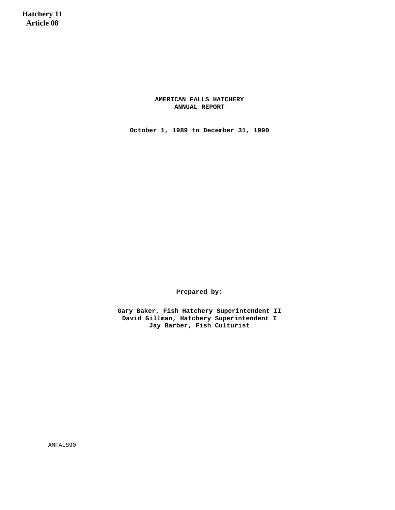**Hatchery 11 Article 08**

> **AMERICAN FALLS HATCHERY ANNUAL REPORT**

**October 1, 1989 to December 31, 1990**

**Prepared by:**

**Gary Baker, Fish Hatchery Superintendent II David Gillman, Hatchery Superintendent I Jay Barber, Fish Culturist**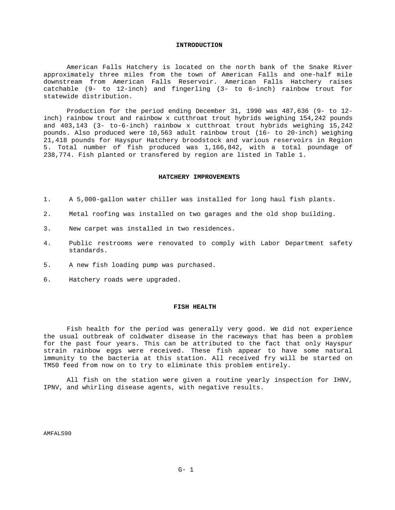#### **INTRODUCTION**

American Falls Hatchery is located on the north bank of the Snake River approximately three miles from the town of American Falls and one-half mile downstream from American Falls Reservoir. American Falls Hatchery raises catchable (9- to 12-inch) and fingerling (3- to 6-inch) rainbow trout for statewide distribution.

Production for the period ending December 31, 1990 was 487,636 (9- to 12 inch) rainbow trout and rainbow x cutthroat trout hybrids weighing 154,242 pounds and 403,143 (3- to-6-inch) rainbow x cutthroat trout hybrids weighing 15,242 pounds. Also produced were 10,563 adult rainbow trout (16- to 20-inch) weighing 21,418 pounds for Hayspur Hatchery broodstock and various reservoirs in Region 5. Total number of fish produced was 1,166,842, with a total poundage of 238,774. Fish planted or transfered by region are listed in Table 1.

#### **HATCHERY IMPROVEMENTS**

- 1. A 5,000-gallon water chiller was installed for long haul fish plants.
- 2. Metal roofing was installed on two garages and the old shop building.
- 3. New carpet was installed in two residences.
- 4. Public restrooms were renovated to comply with Labor Department safety standards.
- 5. A new fish loading pump was purchased.
- 6. Hatchery roads were upgraded.

## **FISH HEALTH**

Fish health for the period was generally very good. We did not experience the usual outbreak of coldwater disease in the raceways that has been a problem for the past four years. This can be attributed to the fact that only Hayspur strain rainbow eggs were received. These fish appear to have some natural immunity to the bacteria at this station. All received fry will be started on TM50 feed from now on to try to eliminate this problem entirely.

All fish on the station were given a routine yearly inspection for IHNV, IPNV, and whirling disease agents, with negative results.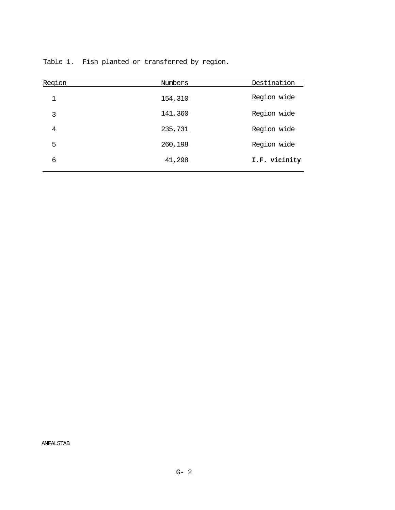| Region | Numbers | Destination   |
|--------|---------|---------------|
| 1      | 154,310 | Region wide   |
| 3      | 141,360 | Region wide   |
| 4      | 235,731 | Region wide   |
| 5      | 260,198 | Region wide   |
| 6      | 41,298  | I.F. vicinity |

Table 1. Fish planted or transferred by region.

AMFALSTAB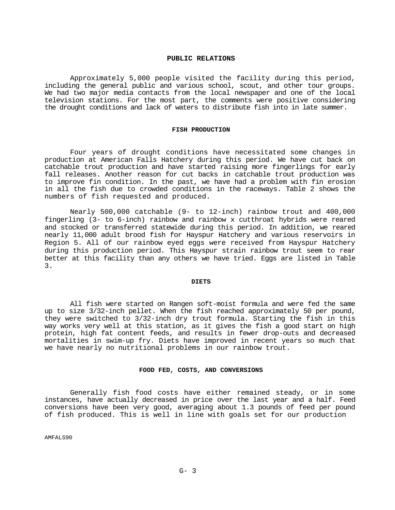# **PUBLIC RELATIONS**

Approximately 5,000 people visited the facility during this period, including the general public and various school, scout, and other tour groups. We had two major media contacts from the local newspaper and one of the local television stations. For the most part, the comments were positive considering the drought conditions and lack of waters to distribute fish into in late summer.

# **FISH PRODUCTION**

Four years of drought conditions have necessitated some changes in production at American Falls Hatchery during this period. We have cut back on catchable trout production and have started raising more fingerlings for early fall releases. Another reason for cut backs in catchable trout production was to improve fin condition. In the past, we have had a problem with fin erosion in all the fish due to crowded conditions in the raceways. Table 2 shows the numbers of fish requested and produced.

Nearly 500,000 catchable (9- to 12-inch) rainbow trout and 400,000 fingerling (3- to 6-inch) rainbow and rainbow x cutthroat hybrids were reared and stocked or transferred statewide during this period. In addition, we reared nearly 11,000 adult brood fish for Hayspur Hatchery and various reservoirs in Region 5. All of our rainbow eyed eggs were received from Hayspur Hatchery during this production period. This Hayspur strain rainbow trout seem to rear better at this facility than any others we have tried. Eggs are listed in Table 3.

#### **DIETS**

All fish were started on Rangen soft-moist formula and were fed the same up to size 3/32-inch pellet. When the fish reached approximately 50 per pound, they were switched to 3/32-inch dry trout formula. Starting the fish in this way works very well at this station, as it gives the fish a good start on high protein, high fat content feeds, and results in fewer drop-outs and decreased mortalities in swim-up fry. Diets have improved in recent years so much that we have nearly no nutritional problems in our rainbow trout.

## **FOOD FED, COSTS, AND CONVERSIONS**

Generally fish food costs have either remained steady, or in some instances, have actually decreased in price over the last year and a half. Feed conversions have been very good, averaging about 1.3 pounds of feed per pound of fish produced. This is well in line with goals set for our production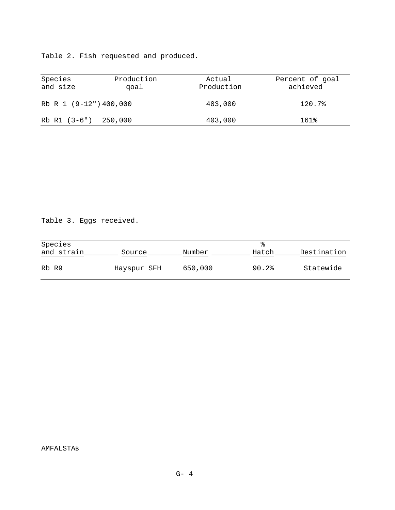Table 2. Fish requested and produced.

| Species<br>and size    | Production<br>qoal | Actual<br>Production | Percent of goal<br>achieved |
|------------------------|--------------------|----------------------|-----------------------------|
| Rb R 1 (9-12") 400,000 |                    | 483,000              | 120.7%                      |
| Rb R1 (3-6") 250,000   |                    | 403,000              | 161%                        |

Table 3. Eggs received.

| Species    |             |         |       |             |
|------------|-------------|---------|-------|-------------|
| and strain | Source      | Number  | Hatch | Destination |
| Rb R9      | Hayspur SFH | 650,000 | 90.2% | Statewide   |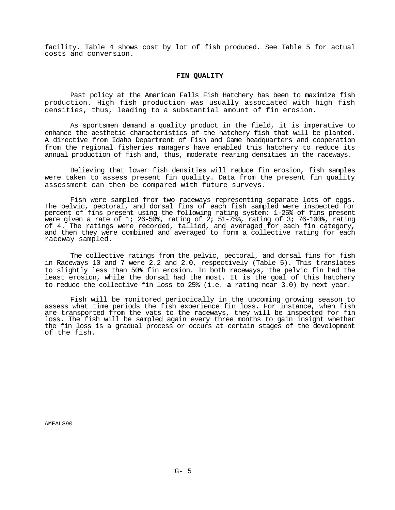facility. Table 4 shows cost by lot of fish produced. See Table 5 for actual costs and conversion.

## **FIN QUALITY**

Past policy at the American Falls Fish Hatchery has been to maximize fish production. High fish production was usually associated with high fish densities, thus, leading to a substantial amount of fin erosion.

As sportsmen demand a quality product in the field, it is imperative to enhance the aesthetic characteristics of the hatchery fish that will be planted. A directive from Idaho Department of Fish and Game headquarters and cooperation from the regional fisheries managers have enabled this hatchery to reduce its annual production of fish and, thus, moderate rearing densities in the raceways.

Believing that lower fish densities will reduce fin erosion, fish samples were taken to assess present fin quality. Data from the present fin quality assessment can then be compared with future surveys.

Fish were sampled from two raceways representing separate lots of eggs. The pelvic, pectoral, and dorsal fins of each fish sampled were inspected for percent of fins present using the following rating system: 1-25% of fins present were given a rate of 1; 26-50%, rating of  $2$ ; 51-75%, rating of 3; 76-100%, rating of 4. The ratings were recorded, tallied, and averaged for each fin category, and then they were combined and averaged to form a collective rating for each raceway sampled.

The collective ratings from the pelvic, pectoral, and dorsal fins for fish in Raceways 10 and 7 were 2.2 and 2.0, respectively (Table 5). This translates to slightly less than 50% fin erosion. In both raceways, the pelvic fin had the least erosion, while the dorsal had the most. It is the goal of this hatchery to reduce the collective fin loss to 25% (i.e. **a** rating near 3.0) by next year.

Fish will be monitored periodically in the upcoming growing season to assess what time periods the fish experience fin loss. For instance, when fish are transported from the vats to the raceways, they will be inspected for fin loss. The fish will be sampled again every three months to gain insight whether the fin loss is a gradual process or occurs at certain stages of the development of the fish.